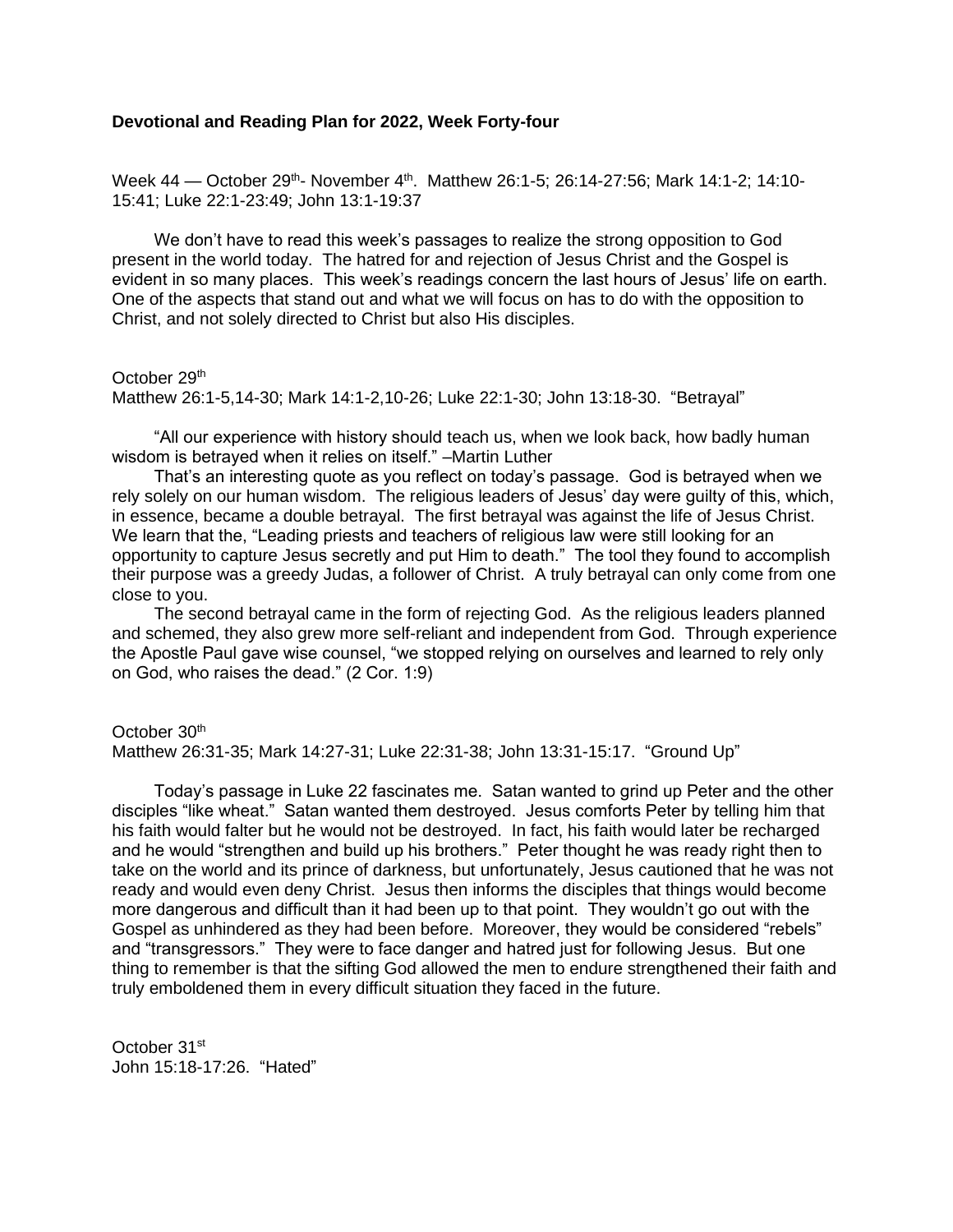# **Devotional and Reading Plan for 2022, Week Forty-four**

Week 44 — October 29<sup>th</sup>- November 4<sup>th</sup>. Matthew 26:1-5; 26:14-27:56; Mark 14:1-2; 14:10-15:41; Luke 22:1-23:49; John 13:1-19:37

We don't have to read this week's passages to realize the strong opposition to God present in the world today. The hatred for and rejection of Jesus Christ and the Gospel is evident in so many places. This week's readings concern the last hours of Jesus' life on earth. One of the aspects that stand out and what we will focus on has to do with the opposition to Christ, and not solely directed to Christ but also His disciples.

## October 29<sup>th</sup>

Matthew 26:1-5,14-30; Mark 14:1-2,10-26; Luke 22:1-30; John 13:18-30. "Betrayal"

"All our experience with history should teach us, when we look back, how badly human wisdom is betrayed when it relies on itself." –Martin Luther

That's an interesting quote as you reflect on today's passage. God is betrayed when we rely solely on our human wisdom. The religious leaders of Jesus' day were guilty of this, which, in essence, became a double betrayal. The first betrayal was against the life of Jesus Christ. We learn that the, "Leading priests and teachers of religious law were still looking for an opportunity to capture Jesus secretly and put Him to death." The tool they found to accomplish their purpose was a greedy Judas, a follower of Christ. A truly betrayal can only come from one close to you.

The second betrayal came in the form of rejecting God. As the religious leaders planned and schemed, they also grew more self-reliant and independent from God. Through experience the Apostle Paul gave wise counsel, "we stopped relying on ourselves and learned to rely only on God, who raises the dead." (2 Cor. 1:9)

## October 30<sup>th</sup>

Matthew 26:31-35; Mark 14:27-31; Luke 22:31-38; John 13:31-15:17. "Ground Up"

Today's passage in Luke 22 fascinates me. Satan wanted to grind up Peter and the other disciples "like wheat." Satan wanted them destroyed. Jesus comforts Peter by telling him that his faith would falter but he would not be destroyed. In fact, his faith would later be recharged and he would "strengthen and build up his brothers." Peter thought he was ready right then to take on the world and its prince of darkness, but unfortunately, Jesus cautioned that he was not ready and would even deny Christ. Jesus then informs the disciples that things would become more dangerous and difficult than it had been up to that point. They wouldn't go out with the Gospel as unhindered as they had been before. Moreover, they would be considered "rebels" and "transgressors." They were to face danger and hatred just for following Jesus. But one thing to remember is that the sifting God allowed the men to endure strengthened their faith and truly emboldened them in every difficult situation they faced in the future.

October 31st John 15:18-17:26. "Hated"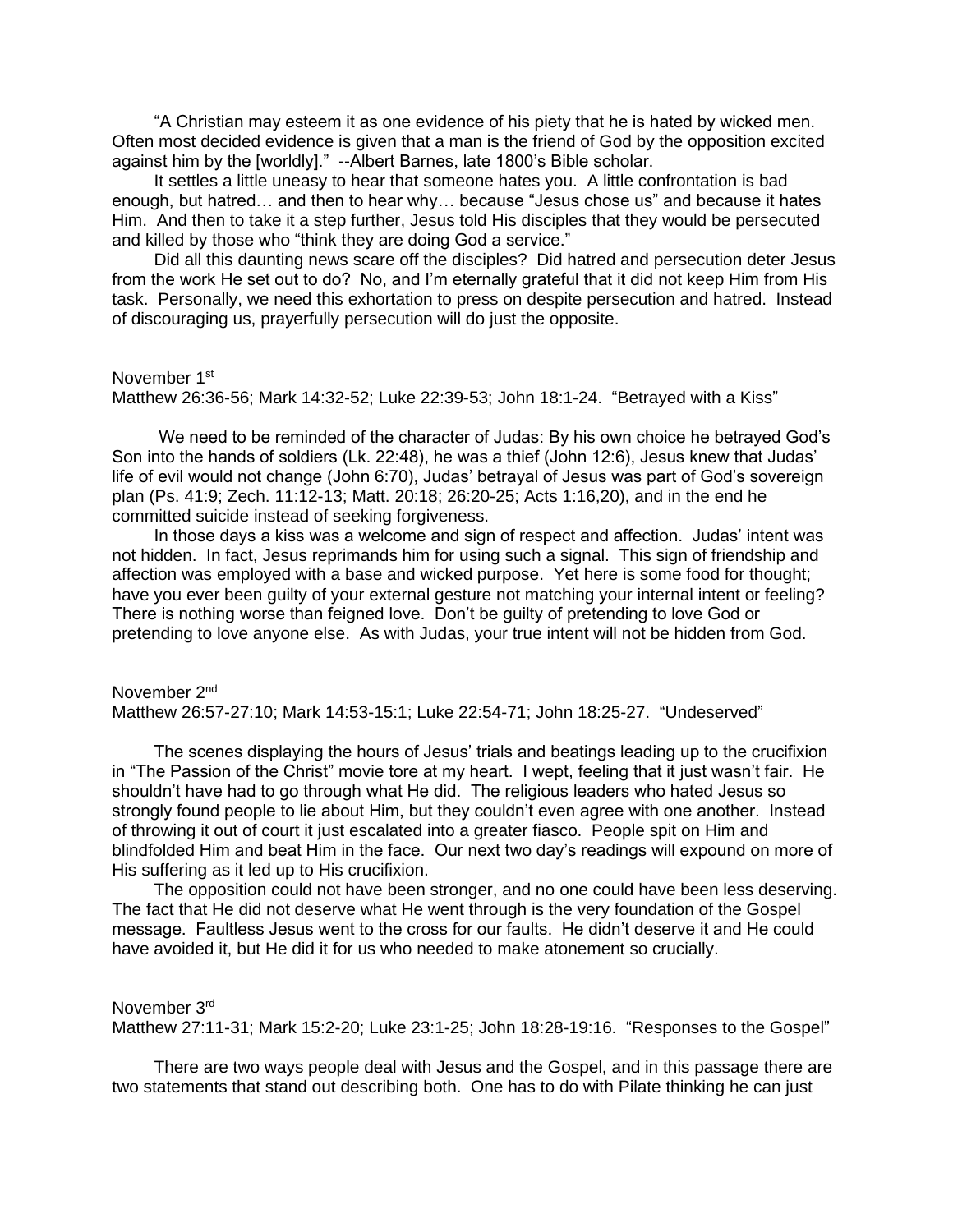"A Christian may esteem it as one evidence of his piety that he is hated by wicked men. Often most decided evidence is given that a man is the friend of God by the opposition excited against him by the [worldly]." --Albert Barnes, late 1800's Bible scholar.

It settles a little uneasy to hear that someone hates you. A little confrontation is bad enough, but hatred… and then to hear why… because "Jesus chose us" and because it hates Him. And then to take it a step further, Jesus told His disciples that they would be persecuted and killed by those who "think they are doing God a service."

Did all this daunting news scare off the disciples? Did hatred and persecution deter Jesus from the work He set out to do? No, and I'm eternally grateful that it did not keep Him from His task. Personally, we need this exhortation to press on despite persecution and hatred. Instead of discouraging us, prayerfully persecution will do just the opposite.

#### November 1<sup>st</sup>

Matthew 26:36-56; Mark 14:32-52; Luke 22:39-53; John 18:1-24. "Betrayed with a Kiss"

We need to be reminded of the character of Judas: By his own choice he betrayed God's Son into the hands of soldiers (Lk. 22:48), he was a thief (John 12:6), Jesus knew that Judas' life of evil would not change (John 6:70), Judas' betrayal of Jesus was part of God's sovereign plan (Ps. 41:9; Zech. 11:12-13; Matt. 20:18; 26:20-25; Acts 1:16,20), and in the end he committed suicide instead of seeking forgiveness.

In those days a kiss was a welcome and sign of respect and affection. Judas' intent was not hidden. In fact, Jesus reprimands him for using such a signal. This sign of friendship and affection was employed with a base and wicked purpose. Yet here is some food for thought; have you ever been guilty of your external gesture not matching your internal intent or feeling? There is nothing worse than feigned love. Don't be guilty of pretending to love God or pretending to love anyone else. As with Judas, your true intent will not be hidden from God.

November 2<sup>nd</sup> Matthew 26:57-27:10; Mark 14:53-15:1; Luke 22:54-71; John 18:25-27. "Undeserved"

The scenes displaying the hours of Jesus' trials and beatings leading up to the crucifixion in "The Passion of the Christ" movie tore at my heart. I wept, feeling that it just wasn't fair. He shouldn't have had to go through what He did. The religious leaders who hated Jesus so strongly found people to lie about Him, but they couldn't even agree with one another. Instead of throwing it out of court it just escalated into a greater fiasco. People spit on Him and blindfolded Him and beat Him in the face. Our next two day's readings will expound on more of His suffering as it led up to His crucifixion.

The opposition could not have been stronger, and no one could have been less deserving. The fact that He did not deserve what He went through is the very foundation of the Gospel message. Faultless Jesus went to the cross for our faults. He didn't deserve it and He could have avoided it, but He did it for us who needed to make atonement so crucially.

November 3rd

Matthew 27:11-31; Mark 15:2-20; Luke 23:1-25; John 18:28-19:16. "Responses to the Gospel"

There are two ways people deal with Jesus and the Gospel, and in this passage there are two statements that stand out describing both. One has to do with Pilate thinking he can just